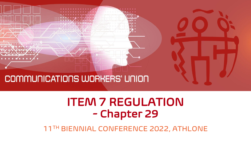

# COMMUNICATIONS WORKERS' UNION

## ITEM 7 REGULATION - Chapter 29

11TH BIENNIAL CONFERENCE 2022, ATHLONE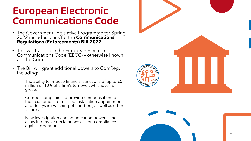#### European Electronic Communications Code

- The Government Legislative Programme for Spring 2022 includes plans for the **Communications Regulations (Enforcements) Bill 2022**
- This will transpose the European Electronic Communications Code (EECC) – otherwise known as "the Code"
- The Bill will grant additional powers to ComReg, including:
	- $-$  The ability to impose financial sanctions of up to  $\epsilon$ 5  $\,$ million or 10% of a firm's turnover, whichever is greater
	- Compel companies to provide compensation to their customers for missed installation appointments and delays in switching of numbers, as well as other failures
	- New investigation and adjudication powers, and allow it to make declarations of non -compliance against operators



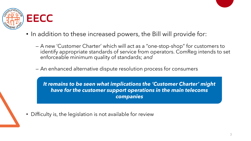

- In addition to these increased powers, the Bill will provide for:
	- A new 'Customer Charter' which will act as a "one-stop-shop" for customers to identify appropriate standards of service from operators. ComReg intends to set enforceable minimum quality of standards; *and*
	- An enhanced alternative dispute resolution process for consumers

*It remains to be seen what implications the 'Customer Charter' might have for the customer support operations in the main telecoms companies*

• Difficulty is, the legislation is not available for review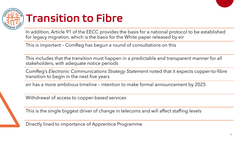

## Transition to Fibre

In addition, Article 91 of the EECC provides the basis for a national protocol to be established for legacy migration, which is the basis for the White paper released by eir

This is important – ComReg has begun a round of consultations on this

This includes that the transition must happen in a predictable and transparent manner for all stakeholders, with adequate notice periods

ComReg's *Electronic Communications Strategy Statement* noted that it expects copper-to-fibre transition to begin in the next five years

eir has a more ambitious timeline – intention to make formal announcement by 2025

Withdrawal of access to copper-based services

This is the single biggest driver of change in telecoms and will affect staffing levels

Directly lined to importance of Apprentice Programme